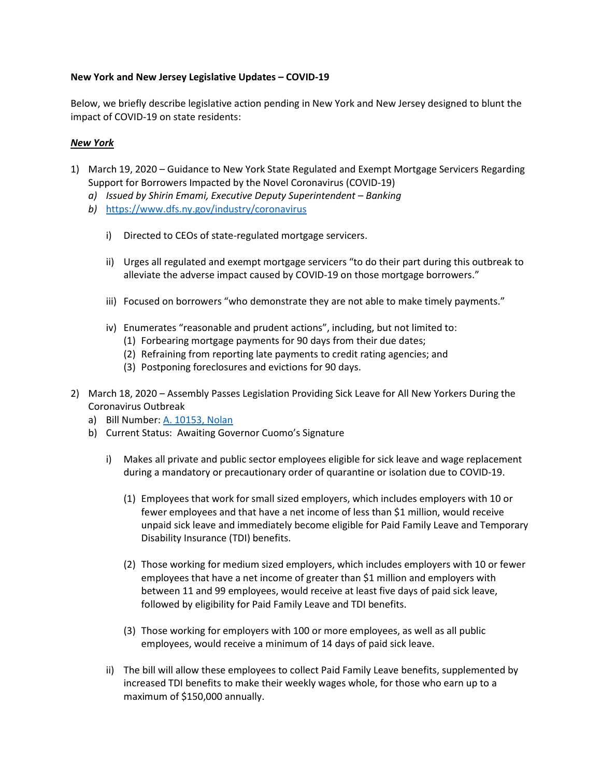## New York and New Jersey Legislative Updates – COVID-19

Below, we briefly describe legislative action pending in New York and New Jersey designed to blunt the impact of COVID-19 on state residents:

## New York

- 1) March 19, 2020 Guidance to New York State Regulated and Exempt Mortgage Servicers Regarding Support for Borrowers Impacted by the Novel Coronavirus (COVID-19)
	- a) Issued by Shirin Emami, Executive Deputy Superintendent Banking
	- b) https://www.dfs.ny.gov/industry/coronavirus
		- i) Directed to CEOs of state-regulated mortgage servicers.
		- ii) Urges all regulated and exempt mortgage servicers "to do their part during this outbreak to alleviate the adverse impact caused by COVID-19 on those mortgage borrowers."
		- iii) Focused on borrowers "who demonstrate they are not able to make timely payments."
		- iv) Enumerates "reasonable and prudent actions", including, but not limited to:
			- (1) Forbearing mortgage payments for 90 days from their due dates;
			- (2) Refraining from reporting late payments to credit rating agencies; and
			- (3) Postponing foreclosures and evictions for 90 days.
- 2) March 18, 2020 Assembly Passes Legislation Providing Sick Leave for All New Yorkers During the Coronavirus Outbreak
	- a) Bill Number: A. 10153, Nolan
	- b) Current Status: Awaiting Governor Cuomo's Signature
		- i) Makes all private and public sector employees eligible for sick leave and wage replacement during a mandatory or precautionary order of quarantine or isolation due to COVID-19.
			- (1) Employees that work for small sized employers, which includes employers with 10 or fewer employees and that have a net income of less than \$1 million, would receive unpaid sick leave and immediately become eligible for Paid Family Leave and Temporary Disability Insurance (TDI) benefits.
			- (2) Those working for medium sized employers, which includes employers with 10 or fewer employees that have a net income of greater than \$1 million and employers with between 11 and 99 employees, would receive at least five days of paid sick leave, followed by eligibility for Paid Family Leave and TDI benefits.
			- (3) Those working for employers with 100 or more employees, as well as all public employees, would receive a minimum of 14 days of paid sick leave.
		- ii) The bill will allow these employees to collect Paid Family Leave benefits, supplemented by increased TDI benefits to make their weekly wages whole, for those who earn up to a maximum of \$150,000 annually.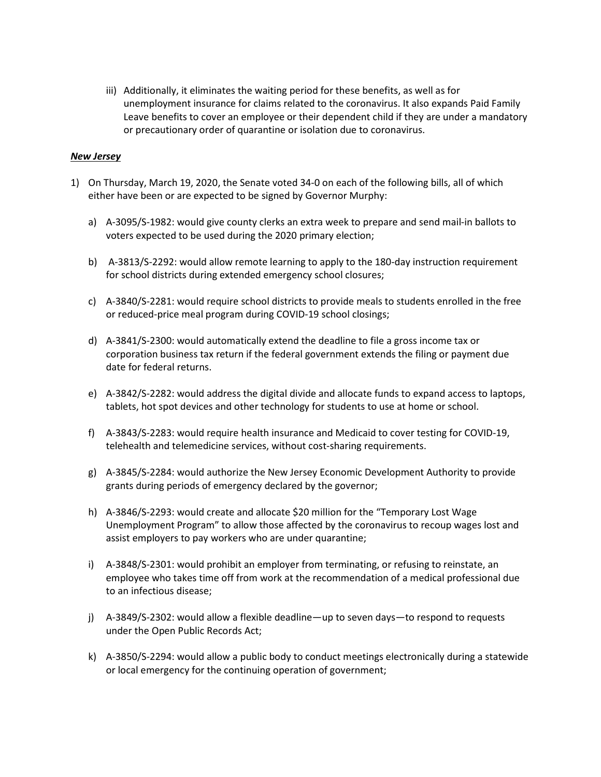iii) Additionally, it eliminates the waiting period for these benefits, as well as for unemployment insurance for claims related to the coronavirus. It also expands Paid Family Leave benefits to cover an employee or their dependent child if they are under a mandatory or precautionary order of quarantine or isolation due to coronavirus.

## New Jersey

- 1) On Thursday, March 19, 2020, the Senate voted 34-0 on each of the following bills, all of which either have been or are expected to be signed by Governor Murphy:
	- a) A-3095/S-1982: would give county clerks an extra week to prepare and send mail-in ballots to voters expected to be used during the 2020 primary election;
	- b) A-3813/S-2292: would allow remote learning to apply to the 180-day instruction requirement for school districts during extended emergency school closures;
	- c) A-3840/S-2281: would require school districts to provide meals to students enrolled in the free or reduced-price meal program during COVID-19 school closings;
	- d) A-3841/S-2300: would automatically extend the deadline to file a gross income tax or corporation business tax return if the federal government extends the filing or payment due date for federal returns.
	- e) A-3842/S-2282: would address the digital divide and allocate funds to expand access to laptops, tablets, hot spot devices and other technology for students to use at home or school.
	- f) A-3843/S-2283: would require health insurance and Medicaid to cover testing for COVID-19, telehealth and telemedicine services, without cost-sharing requirements.
	- g) A-3845/S-2284: would authorize the New Jersey Economic Development Authority to provide grants during periods of emergency declared by the governor;
	- h) A-3846/S-2293: would create and allocate \$20 million for the "Temporary Lost Wage Unemployment Program" to allow those affected by the coronavirus to recoup wages lost and assist employers to pay workers who are under quarantine;
	- i) A-3848/S-2301: would prohibit an employer from terminating, or refusing to reinstate, an employee who takes time off from work at the recommendation of a medical professional due to an infectious disease;
	- j) A-3849/S-2302: would allow a flexible deadline—up to seven days—to respond to requests under the Open Public Records Act;
	- k) A-3850/S-2294: would allow a public body to conduct meetings electronically during a statewide or local emergency for the continuing operation of government;